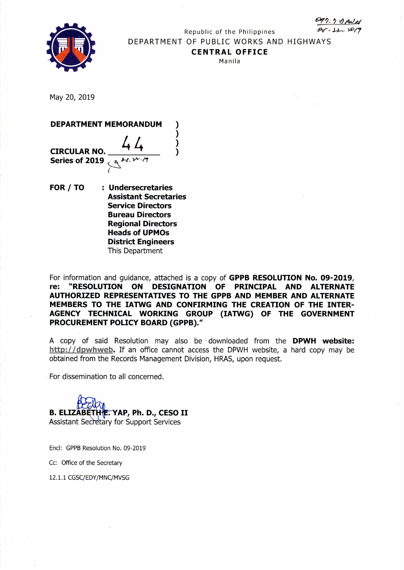



Republic of the Philippines *~,.l4-~ ~/7* DEPARTMENT OF PUBLIC WORKS AND HIGHWAYS **CENTRAL OFFICE** Manila

May 20, 2019



**FOR / TO : Undersecretaries Assistant Secretaries Service Directors Bureau Directors Regional Directors Heads of UPMOs District Engineers** This Department

For information and guidance, attached is a copy of **GPPB RESOLUTION No. 09-2019, re: "RESOLUTION ON DESIGNATION OF PRINCIPAL AND ALTERNATE AUTHORIZED REPRESENTATIVES TO THE GPPB AND MEMBER AND ALTERNATE MEMBERS TO THE IATWG AND CONFIRMING THE CREATION OF THE INTER-AGENCY TECHNICAL WORKING GROUP (IATWG) OF THE GOVERNMENT PROCUREMENT POLICY BOARD (GPPB)."**

A copy of said Resolution may also be' downloaded from the **DPWH website:** http://dpwhweb. If an office cannot access the DPWH website, a hard copy may be obtained from the Records Management Division, HRAS, upon request.

For dissemination to all concerned.

B. ELIZĀBĒTHE. YAP, Ph. D., CESO II Assistant Secretary for Support Services

End: GPPB Resolution No. 09-2019

Cc: Office of the Secretary

12.1.1 CGSC/EDY*1M* NC/MVSG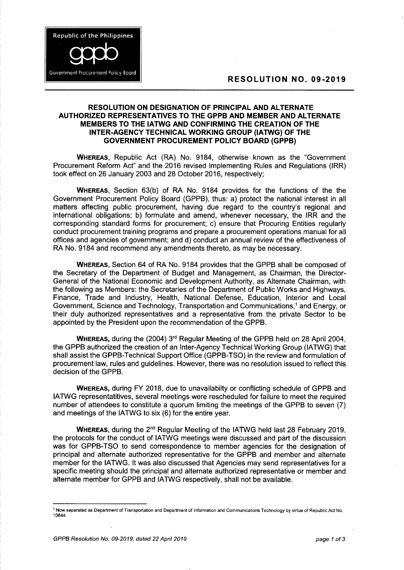## RESOLUTION NO. 09-2019



**Republic of the Philippines** 

Government Procurement Policy Board

WHEREAS, Republic Act (RA) No. 9184, otherwise known as the "Government Procurement Reform Act" and the 2016 revised Implementing Rules and Regulations (IRR) took effect on 26 January 2003 and 28 October 2016, respectively;

WHEREAS, Section 63(b) of RA No. 9184 provides for the functions of the the Government Procurement Policy Board (GPPB), thus: a) protect the national interest in all matters affecting public procurement, having due regard to the country's regional and international obligations; b) formulate and amend, whenever necessary, the IRR and the corresponding standard forms for procurement; c) ensure that Procuring Entities regularly conduct procurement training programs and prepare a procurement operations manual for all offices and agencies of government; and d) conduct an annual review of the effectiveness of RA No. 9184 and recommend any amendments thereto, as may be necessary.

WHEREAS, Section 64 of RA No. 9184 provides that the GPPB shall be composed of the Secretary of the Department of Budget and Management, as Chairman, the Director-General of the National Economic and Development Authority, as Alternate Chairman, with the following as Members: the Secretaries of the Department of Public Works and Highways, Finance, Trade and Industry, Health, National Defense, Education, Interior and Local Government, Science and Technology, Transportation and Communications,1 and Energy, or their duly authorized representatives and a representative from the private Sector to be appointed by the President upon the recommendation of the GPPB.

**W**HEREAS, during the (2004) 3<sup>rd</sup> Regular Meeting of the GPPB held on 28 April 2004, the GPPB authorized the creation of an Inter-Agency Technical Working Group (IATWG) that shall assist the GPPB-Technical Support Office (GPPB-TSO) in the review and formulation of procurement law, rules and guidelines. However, there was no resolution issued to reflect this decision of the GPPB.

WHEREAS, during FY 2018, due to unavailabilty or conflicting schedule of GPPB and IATWG representatitives, several meetings were rescheduled for failure to meet the required number of attendees to constitute a quorum limiting the meetings of the GPPB to seven (7) and meetings of the IATWG to six (6) for the entire year.

WHEREAS, during the 2<sup>nd</sup> Regular Meeting of the IATWG held last 28 February 2019, the protocols for the conduct of IATWG meetings were discussed and part of the discussion was for GPPB-TSO to send correspondence to member agencies for the designation of principal and alternate authorized representative for the GPPB and member and alternate member for the IATWG. It was also discussed that Agencies may send representatives for a specific meeting should the principal and alternate authorized representative or member and alternate member for GPPB and IATWG respectively, shall not be available.

<sup>1</sup> Now separated as Department of Transportation and Department of Information and Communications Technology by virtue of Republic Act No. 10844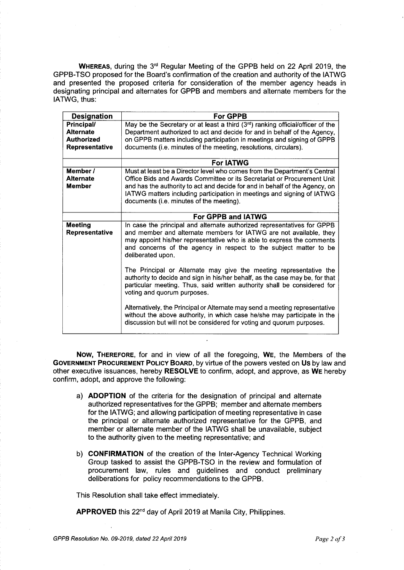**WHEREAS,** during the 3<sup>rd</sup> Regular Meeting of the GPPB held on 22 April 2019, the GPPB-TSO proposed for the Board's confirmation of the creation and authority of the IATWG and presented the proposed criteria for consideration of the member agency heads in designating principal and alternates for GPPB and members and alternate members for the IATWG, thus:

| <b>Designation</b>               | <b>For GPPB</b>                                                                                                                                                                                                                                                                                                   |
|----------------------------------|-------------------------------------------------------------------------------------------------------------------------------------------------------------------------------------------------------------------------------------------------------------------------------------------------------------------|
| Principal/                       | May be the Secretary or at least a third $(3rd)$ ranking official/officer of the                                                                                                                                                                                                                                  |
| <b>Alternate</b>                 | Department authorized to act and decide for and in behalf of the Agency,                                                                                                                                                                                                                                          |
| <b>Authorized</b>                | on GPPB matters including participation in meetings and signing of GPPB                                                                                                                                                                                                                                           |
| Representative                   | documents (i.e. minutes of the meeting, resolutions, circulars).                                                                                                                                                                                                                                                  |
|                                  |                                                                                                                                                                                                                                                                                                                   |
|                                  | <b>For IATWG</b>                                                                                                                                                                                                                                                                                                  |
| Member /                         | Must at least be a Director level who comes from the Department's Central                                                                                                                                                                                                                                         |
| <b>Alternate</b>                 | Office Bids and Awards Committee or its Secretariat or Procurement Unit                                                                                                                                                                                                                                           |
| <b>Member</b>                    | and has the authority to act and decide for and in behalf of the Agency, on                                                                                                                                                                                                                                       |
|                                  | IATWG matters including participation in meetings and signing of IATWG                                                                                                                                                                                                                                            |
|                                  | documents (i.e. minutes of the meeting).                                                                                                                                                                                                                                                                          |
|                                  |                                                                                                                                                                                                                                                                                                                   |
|                                  | <b>For GPPB and IATWG</b>                                                                                                                                                                                                                                                                                         |
| <b>Meeting</b><br>Representative | In case the principal and alternate authorized representatives for GPPB<br>and member and alternate members for IATWG are not available, they<br>may appoint his/her representative who is able to express the comments<br>and concerns of the agency in respect to the subject matter to be<br>deliberated upon. |
|                                  | The Principal or Alternate may give the meeting representative the<br>authority to decide and sign in his/her behalf, as the case may be, for that<br>particular meeting. Thus, said written authority shall be considered for<br>voting and quorum purposes.                                                     |
|                                  | Alternatively, the Principal or Alternate may send a meeting representative<br>without the above authority, in which case he/she may participate in the<br>discussion but will not be considered for voting and quorum purposes.                                                                                  |

Now, THEREFORE, for and in view of all the foregoing, WE, the Members of the GOVERNMENT PROCUREMENT POLICY BOARD, by virtue of the powers vested on Us by law and other executive issuances, hereby RESOLVE to confirm, adopt, and approve, as WE hereby confirm, adopt, and approve the following:

- a) ADOPTION of the criteria for the designation of principal and alternate authorized representatives for the GPPB; member and alternate members for the IATWG; and allowing participation of meeting representative in case the principal or alternate authorized representative for the GPPB, and member or alternate member of the IATWG shall be unavailable, subject to the authority given to the meeting representative; and
- b) CONFIRMATION of the creation of the Inter-Agency Technical Working Group tasked to assist the GPPB-TSO in the review and formulation of procurement law, rules and guidelines and conduct preliminary deliberations for policy recommendations to the GPPB.

This Resolution shall take effect immediately.

APPROVED this 22<sup>nd</sup> day of April 2019 at Manila City, Philippines.